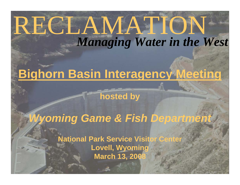# RECLAMATION *Managing Water in the West*

# **Bighorn Basin Interagency Meeting**

**hosted by**

# *Wyoming Game & Fish Department*

**National Park Service Visitor Center Lovell, Wyoming March 13, 2008**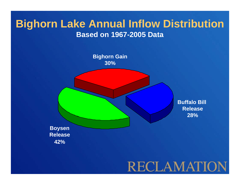### **Bighorn Lake Annual Inflow Distribution Based on 1967-2005 Data**

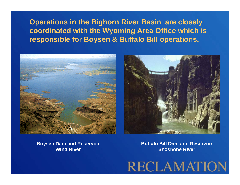**Operations in the Bighorn River Basin are closely coordinated with the Wyoming Area Office which is responsible for Boysen & Buffalo Bill operations.**





**Boysen Dam and Reservoir Wind River**

**Buffalo Bill Dam and ReservoirShoshone River**

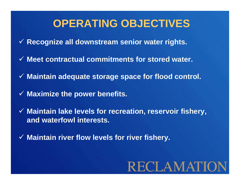## **OPERATING OBJECTIVES**

- 9 **Recognize all downstream senior water rights.**
- 9 **Meet contractual commitments for stored water.**
- 9 **Maintain adequate storage space for flood control.**
- 9 **Maximize the power benefits.**
- 9 **Maintain lake levels for recreation, reservoir fishery, and waterfowl interests.**
- 9 **Maintain river flow levels for river fishery.**

# **RECLAMATIC**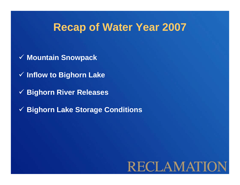- 9 **Mountain Snowpack**
- 9 **Inflow to Bighorn Lake**
- 9 **Bighorn River Releases**
- 9 **Bighorn Lake Storage Conditions**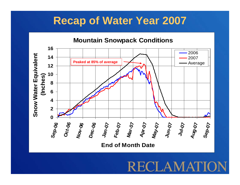

ECLAMA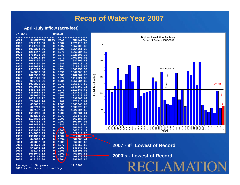#### **April-July Inflow (acre-feet)**

| BY YEAR     |                  |                                        |                |                                                       |
|-------------|------------------|----------------------------------------|----------------|-------------------------------------------------------|
| <b>YEAR</b> | <b>SUMMATION</b> | <b>MISS</b>                            | <b>YEAR</b>    | <b>SUMMATION</b>                                      |
| 1967        | 2271119.00       | 0                                      |                | 2271119.00                                            |
| 1968        |                  |                                        |                | 1957909.38                                            |
| 1969        |                  | $\overline{0}$                         |                | 1954361.38                                            |
| 1970        | 1211447.62       | $\mathbf 0$                            | 1975           | 1863084.12                                            |
| 1971        | 1761603.00       | $\overline{0}$                         | 1978           | 1828506.38                                            |
| 1972        | 1412024.50       | $\mathbf 0$                            | 1971           | 1761603.00                                            |
| 1973        |                  | $\mathbf 0$                            |                | 1687499.88                                            |
| 1974        | 1583350.50       | $\mathbf 0$                            | 1986           | 1659118.12                                            |
| 1975        | 1863084.12       | $\overline{0}$                         | 1991           | 1619218.88                                            |
| 1976        | 1356278.50       | $\overline{0}$                         | 1974           | 1583350.50                                            |
| 1977        | 549853.88        | 0                                      |                | 1567308.00                                            |
| 1978        | 1828506.38       | 0                                      | 1983           | 1482762.75                                            |
| 1979        | 910146.06        | 0                                      | 1972           | 1412024.50                                            |
| 1980        | 999731.81        | $\mathbf 0$                            | 1984           | 1356584.88                                            |
| 1981        | 1038870.25       | $\mathbf 0$                            | 1976           | 1356278.50                                            |
| 1982        | 1073918.62       | $\mathbf 0$                            | 1998           | 1249862.25                                            |
| 1983        | 1482762.75       | $\overline{0}$                         | 1970           | 1211447.62                                            |
| 1984        | 1356584.88       | $\mathbf 0$                            | 1993           | 1124839.38                                            |
| 1985        | 562000.69        | $\overline{0}$                         | 1968           | 1121723.50                                            |
| 1986        | 1659118.12       | 0                                      | 1973           | 1097200.62                                            |
| 1987        | 788028.94        | $\mathbf 0$                            | 1982           | 1073918.62                                            |
| 1988        | 653689.31        | $\mathbf 0$                            | 2005           | 1065040.62                                            |
| 1989        | 622719.25        | $\mathbf 0$                            | 1981           | 1038870.25                                            |
| 1990        | 867187.94        | 0                                      | 1969           | 1022204.56                                            |
| 1991        | 1619218.88       | 0                                      | 1980           | 999731.81                                             |
| 1992        | 801294.06        | $\mathbf 0$                            | 1979           | 910146.06                                             |
| 1993        | 1124839.38       | 0                                      | 1990           | 867187.94                                             |
| 1994        | 587368.44        | $\overline{0}$                         | 1992           | 801294.06                                             |
| 1995        | 1687499.88       | 0                                      | 1987           | 788028.94                                             |
| 1996        | 1567308.00       | 0                                      | 1238           | 653689.31                                             |
| 1997        | 1957909.38       | $\mathbf 0$                            | 2000           | 643018.12                                             |
| 1998        | 1249862.25       | $\overline{0}$                         | 1989           | 622719.25                                             |
| 1999        | 1954361.38       | $\mathbf 0$                            | 2007           | 614100.00                                             |
| 2000        | 643018.12        | $\overline{0}$                         | 1994           | 587368.44                                             |
| 2001        | 469897.88        | $\mathbf 0$                            | 1985           | 562000.69                                             |
| 2002        | 408570.88        | $\overline{0}$                         | 1977           | 549853.88                                             |
| 2003        | 548248.62        | $\overline{0}$                         | 2003           | 548248.62                                             |
| 2004        | 392148.84        | 0                                      | 2006           | 528198.00                                             |
| 2005        | 1065040.62       | 0                                      | 2001           | 469897.88                                             |
| 2006        | 528198.00        | $\overline{0}$                         | 2002           | 408570.88                                             |
| 2007        | 614100.00        | $\overline{0}$                         | 2004           | 392148.84                                             |
|             |                  | 1121723.50<br>1022204.56<br>1097200.62 | $\overline{0}$ | <b>RANKED</b><br>1967<br>1997<br>1999<br>1995<br>1996 |



**2007 - 9th Lowest of Record**

**2000's - Lowest of Record**

**Average of 54 years: 1113300 2007 is 51 percent of average**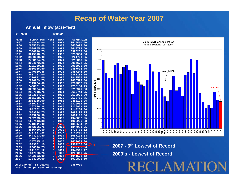#### **Annual Inflow (acre-feet)**

**BY YEAR RANKED** 

| <b>YEAR</b> | <b>SUMMATION</b> | <b>MISS</b>    | <b>YEAR</b> | <b>SUMMATION</b> |
|-------------|------------------|----------------|-------------|------------------|
| 1967        | 3458698.00       | $\overline{0}$ | 1997        | 3516450.50       |
| 1968        | 2805523.00       | $\overline{0}$ | 1967        | 3458698.00       |
| 1969        | 2538975.00       | 0              | 1999        | 3443793.50       |
| 1970        | 2536716.75       | $\overline{0}$ | 1972        | 3320208.00       |
| 1971        | 3215818.25       | $\overline{0}$ | 1983        | 3259034.00       |
| 1972        | 3320208.00       | $\overline{0}$ | 1975        | 3221720.25       |
| 1973        | 2738184.75       | $\overline{0}$ | 1971        | 3215818.25       |
| 1974        | 3094672.25       | $\overline{0}$ | 1974        | 3094672.25       |
| 1975        | 3221720.25       | $\overline{0}$ | 1976        | 2966925.50       |
| 1976        | 2966925.50       | $\overline{0}$ | 1984        | 2887518.75       |
| 1977        | 1740630.88       | $\overline{0}$ | 1978        | 2887243.00       |
| 1978        | 2887243.00       | $\overline{0}$ | 1986        | 2851288.75       |
| 1979        | 2370932.00       | $\overline{0}$ | 1996        | 2842566.75       |
| 1980        | 2226959.75       | $\overline{0}$ | 1968        | 2805523.00       |
| 1981        | 2143234.00       | $\overline{0}$ | 1998        | 2787867.25       |
| 1982        | 2458121.25       | $\overline{0}$ | 1973        | 2738184.75       |
| 1983        | 3259034.00       | $\overline{0}$ | 1995        | 2718941.00       |
| 1984        | 2887518.75       | $\overline{0}$ | 1991        | 2639744.75       |
| 1985        | 1883584.62       | $\overline{0}$ | 1969        | 2538975.00       |
| 1986        | 2851288.75       | $\overline{0}$ | 1970        | 2536716.75       |
| 1987        | 2064115.00       | $\overline{0}$ | 1982        | 2458121.25       |
| 1988        | 1619253.75       | $\overline{0}$ | 1979        | 2370932.00       |
| 1989        | 1367536.38       | $\overline{O}$ | 1980        | 2226959.75       |
| 1990        | 1942052.25       | $\overline{0}$ | 1981        | 2143234.00       |
| 1991        | 2639744.75       | $\overline{0}$ | 1993        | 2092193.75       |
| 1992        | 1925226.38       | $\overline{0}$ | 1987        | 2064115.00       |
| 1993        | 2092193.75       | $\overline{0}$ | 1990        | 1942052.25       |
| 1994        | 1657113.88       | $\overline{O}$ | 1992        | 1925226.38       |
| 1995        | 2718941.00       | $\overline{O}$ | 7.985       | 1883584.62       |
| 1996        | 2842566.75       | $\mathbf 0$    | 2005        | 1847983.25       |
| 1997        | 3516450.50       | $\overline{O}$ | 2000        | 1776761.12       |
| 1998        | 2787867.25       | $\overline{O}$ | 1977        | 1740630.88       |
| 1999        | 3443793.50       | $\overline{0}$ | 1994        | 1657113.88       |
| 2000        | 1776761.12       | $\mathbf 0$    | 1988        | 1619253.75       |
| 2001        | 1347515.12       | $\overline{0}$ | 2006        | 1432633.00       |
| 2002        | 1029821.19       | $\overline{0}$ | 2007        | 1364200.00       |
| 2003        | 1208316.75       | $\overline{0}$ | 1989        | 1367536.38       |
| 2004        | 1041571.12       | $\overline{O}$ | 2001        | 1347515.12       |
| 2005        | 1847983.25       | $\mathbf 0$    | 2003        | 1208316.75       |
| 2006        | 1432633.00       | $\mathbf 0$    | 2004        | 1041571.12       |
| 2007        | 1364200.00       | $\overline{O}$ | 2002        | 1029821.19       |



ECLAMAT

**2007 - 6th Lowest of Record2000's - Lowest of Record**

**Average of 54 years: 2357000 2007 is 54 percent of average**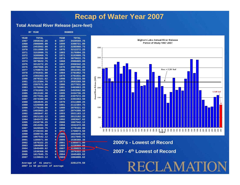#### **Total Annual River Release (acre-feet)**

| вy          | YEAR         |                |             | <b>RANKED</b> |
|-------------|--------------|----------------|-------------|---------------|
| <b>YEAR</b> | <b>TOTAL</b> |                | <b>YEAR</b> | <b>TOTAL</b>  |
| 1967        | 2950342.25   | 0              | 1997        | 3420569.75    |
| 1968        | 2986805.00   | 0              | 1999        | 3390721.00    |
| 1969        | 2453562,00   | 0              | 1972        | 3285960.75    |
| 1970        | 2311800.25   | 0              | 1975        | 3212272.25    |
| 1971        | 3153999.75   | 0              | 1983        | 3176994.25    |
| 1972        | 3285960.75   | $\overline{0}$ | 1971        | 3153999.75    |
| 1973        | 2693269.50   | 0              | 1974        | 3079622.75    |
| 1974        | 3079622.75   | 0              | 1968        | 2986805.00    |
| 1975        | 3212272.25   | 0              | 1967        | 2950342.25    |
| 1976        | 2907066.25   | 0              | 1976        | 2907066.25    |
| 1977        | 1759073.50   | 0              | 1996        | 2812201.50    |
| 1978        | 2781031.00   | 0              | 1984        | 2781852.75    |
| 1979        | 2393363.50   | $\overline{0}$ | 1978        | 2781031.00    |
| 1980        | 2079321.62   | 0              | 1998        | 2726333.00    |
| 1981        | 2112384.75   | 0              | 1973        | 2693269.50    |
| 1982        | 2397572,00   | 0              | 1986        | 2577931.00    |
| 1983        | 3176994.25   | $\overline{0}$ | 1991        | 2483863.25    |
| 1984        | 2781852.75   | 0              | 1969        | 2453562.00    |
| 1985        | 2013182.38   | 0              | 1995        | 2434736.25    |
| 1986        | 2577931.00   | 0              | 1982        | 2397572.00    |
| 1987        | 2074388.50   | 0              | 1979        | 2393363.50    |
| 1988        | 1664645.25   | 0              | 1970        | 2311800.25    |
| 1989        | 1226968.88   | 0              | 1981        | 2112384.75    |
| 1990        | 1776188.00   | 0              | 1980        | 2079321.62    |
| 1991        | 2483863.25   | 0              | 1987        | 2074388.50    |
| 1992        | 1883047.62   | $\mathbf 0$    | 1993        | 2021183.12    |
| 1993        | 2021183.12   | 0              | 1985        | 2013182.38    |
| 1994        | 1842472.88   | $\overline{0}$ | 1992        | 1883047.62    |
| 1995        | 2434736.25   | 0              | 2000        | 1867542.12    |
| 1996        | 2812201.50   | 0              | 1994        | 1842472.88    |
| 1997        | 3420569.75   | 0              | 1990        | 1776188.00    |
| 1998        | 2726333.00   | $\overline{0}$ | 1977        | 1759073.50    |
| 1999        | 3390721.00   | 0              | 1988        | 1664645.25    |
| 2000        | 1867542.12   | $\overline{0}$ | 2006        | 1617845.75    |
| 2001        | 1385071.00   | 0              | 2005        | 1530368.38    |
| 2002        | 1076322.25   | 0              | 2001        | 1385071.00    |
| 2003        | 1004899.62   | $\overline{0}$ | 1989        | 1226968.88    |
| 2004        | 1045489.62   | $\overline{0}$ | 2007        | 1139823.12    |
| 2005        | 1530368.38   | $\mathbf 0$    | 2002        | 1076322.25    |
| 2006        | 1617845.75   | 0              | 2004        | 1045489.62    |
| 2007        | 1139823.12   | $\overline{0}$ | 2003        | 1004899.62    |



**2000's - Lowest of Record**

**2007 - 4th Lowest of Record**

RECLAMATI

**Average of 41 years: 2281270.50 2007 is 50 percent of average**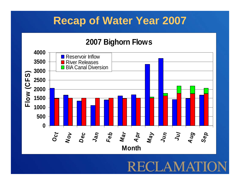### **2007 Bighorn Flows**

![](_page_9_Figure_2.jpeg)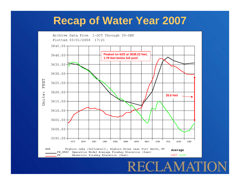![](_page_10_Figure_1.jpeg)

RECLAMATI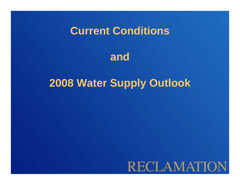## **Current Conditions**

![](_page_11_Picture_1.jpeg)

## **2008 Water Supply Outlook**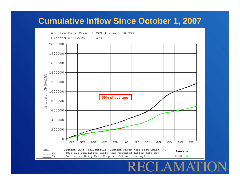### **Cumulative Inflow Since October 1, 2007**

![](_page_12_Figure_1.jpeg)

ECLAM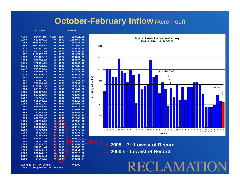### **October-February Inflow (Acre-Feet)**

|             | YEAR<br>ВY       |                |             | <b>RANKED</b>    |
|-------------|------------------|----------------|-------------|------------------|
| <b>YEAR</b> | <b>SUMMATION</b> | <b>MISS</b>    | <b>YEAR</b> | <b>SUMMATION</b> |
| 1967        | 631860.12        | 0              | 1972        | 1183467.75       |
| 1968        | 1006331.44       | $\overline{0}$ | 1983        | 1167321.38       |
| 1969        | 1007956.44       | $\overline{0}$ | 1969        | 1007956.44       |
| 1970        | 863571.56        | $\overline{0}$ | 1968        | 1006331.44       |
| 1971        | 871712.81        | $\overline{0}$ | 1976        | 991732.12        |
| 1972        | 1183467.75       | $\overline{0}$ | 1973        | 971472.19        |
| 1973        | 971472.19        | $\overline{0}$ | 1974        | 939794.69        |
| 1974        | 939794.69        | $\overline{0}$ | 1979        | 922220.44        |
| 1975        | 776611.06        | 0              | 1977        | 904044.19        |
| 1976        | 991732.12        | $\overline{0}$ | 1985        | 897027.06        |
| 1977        | 904044.19        | $\overline{0}$ | 1971        | 871712.81        |
| 1978        | 419889.78        | 0              | 1984        | 871231.19        |
| 1979        | 922220.44        | $\overline{0}$ | 1970        | 863571.56        |
| 1980        | 656034.19        | $\overline{0}$ | 1999        | 789435.62        |
| 1981        | 720497.06        | 0              | 1987        | 777781.75        |
| 1982        | 738008.69        | $\overline{0}$ | 1998        | 777739.81        |
| 1983        | 1167321.38       | $\overline{0}$ | 1975        | 776611.06        |
| 1984        | 871231.19        | 0              | 2000        | 751464.62        |
| 1985        | 897027.06        | $\overline{0}$ | 1992        | 742378.81        |
| 1986        | 587168.00        | $\overline{0}$ | 1982        | 738008.69        |
| 1987        | 777781.75        | 0              | 1981        | 720497.06        |
| 1988        | 665148.12        | $\overline{0}$ | 1996        | 702316.69        |
| 1989        | 369291.69        | $\overline{0}$ | 1997        | 693003.00        |
| 1990        | 678009.94        | 0              | 1994        | 690217.06        |
| 1991        | 517673.03        | $\overline{0}$ | 1990        | 678009.94        |
| 1992        | 742378.81        | $\overline{0}$ | 1988        | 665148.12        |
| 1993        | 476090.53        | 0              | 1980        | 656034.19        |
| 1994        | 690217.06        | $\overline{0}$ | 1967        | 631860.12        |
| 1995        | 482786.62        | $\overline{0}$ | 198         | 587168.00        |
| 1996        | 702316.69        | $\overline{0}$ | 2001        | 570347.31        |
| 1997        | 693003.00        | O              | 2006        | 568448.19        |
| 1998        | 777739.81        | Ō              | 1991        | 517673.03        |
| 1999        | 789435.62        | d              | 1995        | 482786.62        |
| 2000        | 751464.62        |                | 1993        | 476090.53        |
| 2001        | 570347.31        |                | 2007        | 452074.41        |
| 2002        | 356157.91        |                | 2008        | $-434546.16$     |
| 2003        | 357313.78        |                | 1978        | 419889.78        |
| 2004        | 348981.44        |                | 2005        | 390645.22        |
| 2005        | 390645.22        | ٥              | 1989        | 369291.69        |
| 2006        | 568448.19        | Ō              | 2003        | 357313.78        |
| 2007        | 452074.41        | 0              | 2002        | 356157.91        |
| 2008        | 434546.16        | Ō              | 2004        | 348981.44        |

![](_page_13_Figure_2.jpeg)

**2000's - Lowest of Record2008 – 7th Lowest of Record**

RECLAMAI

**Average of 54 years: 742300 2008 is 59 percent of average**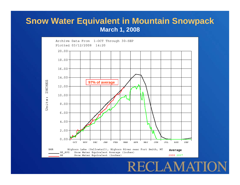#### **Snow Water Equivalent in Mountain Snowpack March 1, 2008**

![](_page_14_Figure_1.jpeg)

#### RECLAM  $\mathbf{A}^{\mathsf{T}}$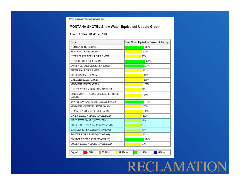# **RECLAMATION**

| <b>Basin</b>                                          | Snow Water Equivalent Percent of Average |  |  |  |
|-------------------------------------------------------|------------------------------------------|--|--|--|
| KOOTENAI RIVER BASIN                                  | 114%                                     |  |  |  |
| <b>FLATHEAD RIVER BASIN</b>                           | 102%                                     |  |  |  |
| UPPER CLARK FORK RIVER BASIN                          | 97%                                      |  |  |  |
| BITTERROOT RIVER BASIN                                | 120%                                     |  |  |  |
| LOWER CLARK FORK RIVER BASIN                          | 116%                                     |  |  |  |
| JEFFERSON RIVER BASIN                                 | 103%                                     |  |  |  |
| MADISON RIVER BASIN                                   | 109%                                     |  |  |  |
| <b>GALLATIN RIVER BASIN</b>                           | 109%                                     |  |  |  |
| MISSOURI HEADWATERS                                   | 107%                                     |  |  |  |
| HEADWATERS MISSOURI MAINSTEM                          | 98%                                      |  |  |  |
| SMITH. JUDITH. AND MUSSELSHELL RIVER<br><b>BASINS</b> | 100%                                     |  |  |  |
| SUN. TETON AND MARIAS RIVER BASINS                    | 111%                                     |  |  |  |
| MISSOURI MAINSTEM RIVER BASIN                         | 102%                                     |  |  |  |
| ST MARY AND MILK RIVER BASINS                         | 106%                                     |  |  |  |
| UPPER YELLOWSTONE RIVER BASIN                         | 103%                                     |  |  |  |
| WIND RIVER BASIN (WYOMING)                            | 94%                                      |  |  |  |
| SHOSHONE RIVER BASIN (WYOMING)                        | 93%                                      |  |  |  |
| BIGHORN RIVER BASIN (WYOMING)                         | 98%                                      |  |  |  |
| TONGUE RIVER BASIN (WYOMING)                          | 103%                                     |  |  |  |
| POWDER RIVER BASIN (WYOMING)                          | 114%                                     |  |  |  |
| LOWER YELLOWSTONE RIVER BASIN                         | 97%                                      |  |  |  |
|                                                       |                                          |  |  |  |
| <70%<br>Legend:<br>70-90%                             | 91-110%<br>111-130%<br>>130%             |  |  |  |

NWCC - SNOTEL Snow Water Equivalent Update Graph

#### MONTANA SNOTEL Snow Water Equivalent Update Graph

#### As of TUESDAY: MARCH 4, 2008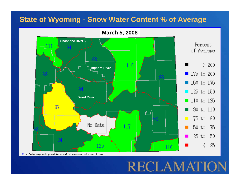### **State of Wyoming - Snow Water Content % of Average**

**March 5, 2008**

![](_page_16_Figure_2.jpeg)

RECLAMAI

= Data may not provide a valid measure of conditions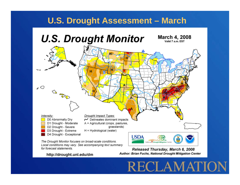### **U.S. Drought Assessment – March**

![](_page_17_Figure_1.jpeg)

Local conditions may vary. See accompanying text summary for forecast statements.

#### http://drought.unl.edu/dm

Released Thursday, March 6, 2008 Author: Brian Fuchs, National Drought Mitigation Center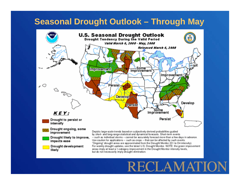### **Seasonal Drought Outlook – Through May**

![](_page_18_Figure_1.jpeg)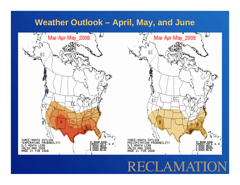### **Weather Outlook – April, May, and June**

![](_page_19_Figure_1.jpeg)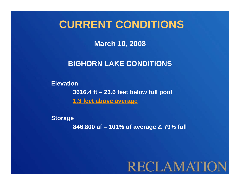## **CURRENT CONDITIONS**

**March 10, 2008**

### **BIGHORN LAKE CONDITIONS**

**Elevation 3616.4 ft – 23.6 feet below full pool 1.3 feet above average**

**Storage 846,800 af – 101% of average & 79% full**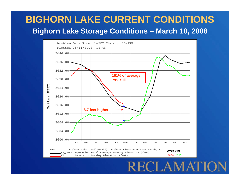### **BIGHORN LAKE CURRENT CONDITIONSBighorn Lake Storage Conditions – March 10, 2008**

![](_page_21_Figure_1.jpeg)

RECLAMATI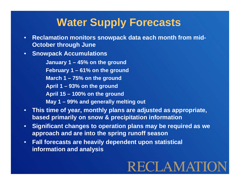## **Water Supply Forecasts**

- **Reclamation monitors snowpack data each month from mid-October through June**
- **Snowpack Accumulations**

**January 1 – 45% on the ground February 1 – 61% on the ground March 1 – 75% on the ground April 1 – 93% on the ground April 15 – 100% on the ground May 1 – 99% and generally melting out**

- **This time of year, monthly plans are adjusted as appropriate, based primarily on snow & precipitation information**
- **Significant changes to operation plans may be required as we approach and are into the spring runoff season**
- **Fall forecasts are heavily dependent upon statistical information and analysis**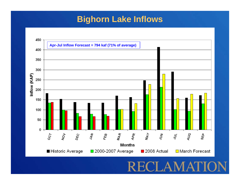### **Bighorn Lake Inflows**

![](_page_23_Figure_1.jpeg)

## $\Delta$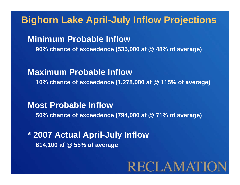### **Bighorn Lake April-July Inflow Projections**

**Minimum Probable Inflow90% chance of exceedence (535,000 af @ 48% of average)**

**Maximum Probable Inflow10% chance of exceedence (1,278,000 af @ 115% of average)**

**Most Probable Inflow50% chance of exceedence (794,000 af @ 71% of average)**

**\* 2007 Actual April-July Inflow 614,100 af @ 55% of average**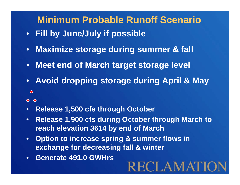## **Minimum Probable Runoff Scenario**

- **Fill by June/July if possible**
- **Maximize storage during summer & fall**
- **Meet end of March target storage level**
- **Avoid dropping storage during April & May**  $\bullet$
- $O$   $O$
- **Release 1,500 cfs through October**
- **Release 1,900 cfs during October through March to reach elevation 3614 by end of March**

- **Option to increase spring & summer flows in exchange for decreasing fall & winter**
- **Generate 491.0 GWHrs**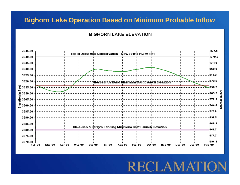#### **Bighorn Lake Operation Based on Minimum Probable Inflow**

#### **BIGHORN LAKE ELEVATION**

![](_page_26_Figure_2.jpeg)

RECLAMAT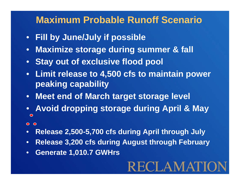## **Maximum Probable Runoff Scenario**

- **Fill by June/July if possible**
- **Maximize storage during summer & fall**
- **Stay out of exclusive flood pool**
- **Limit release to 4,500 cfs to maintain power peaking capability**
- **Meet end of March target storage level**
- **Avoid dropping storage during April & May**  $\bullet$
- $O$   $O$
- **Release 2,500-5,700 cfs during April through July**
- **Release 3,200 cfs during August through February**

**RECLAMATIO** 

• **Generate 1,010.7 GWHrs**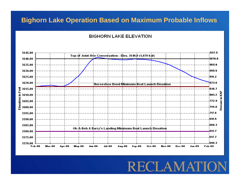#### **Bighorn Lake Operation Based on Maximum Probable Inflows**

#### **BIGHORN LAKE ELEVATION**

![](_page_28_Figure_2.jpeg)

RECLAMAT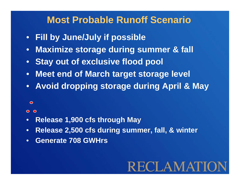### **Most Probable Runoff Scenario**

- **Fill by June/July if possible**
- **Maximize storage during summer & fall**
- **Stay out of exclusive flood pool**
- **Meet end of March target storage level**
- **Avoid dropping storage during April & May**
	- $\bullet$

#### $O$   $O$

- **Release 1,900 cfs through May**
- **Release 2,500 cfs during summer, fall, & winter**
- **Generate 708 GWHrs**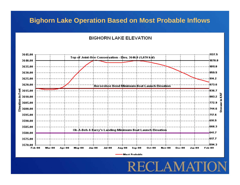#### **Bighorn Lake Operation Based on Most Probable Inflows**

#### **BIGHORN LAKE ELEVATION**

![](_page_30_Figure_2.jpeg)

**Most Probable** 

ECLAMAT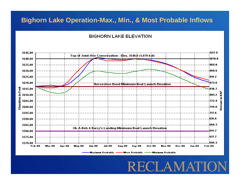#### **Bighorn Lake Operation-Max., Min., & Most Probable Inflows**

**BIGHORN LAKE ELEVATION** 

![](_page_31_Figure_2.jpeg)

RECLAMAT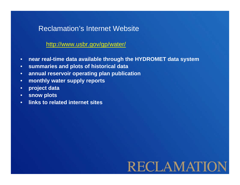### Reclamation's Internet Website

#### http://www.usbr.gov/gp/water/

- **near real-time data available through the HYDROMET data system**
- **summaries and plots of historical data**
- **annual reservoir operating plan publication**
- **monthly water supply reports**
- **project data**
- **snow plots**
- **links to related internet sites**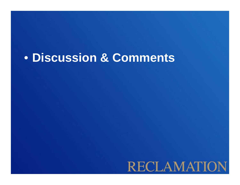# • **Discussion & Comments**